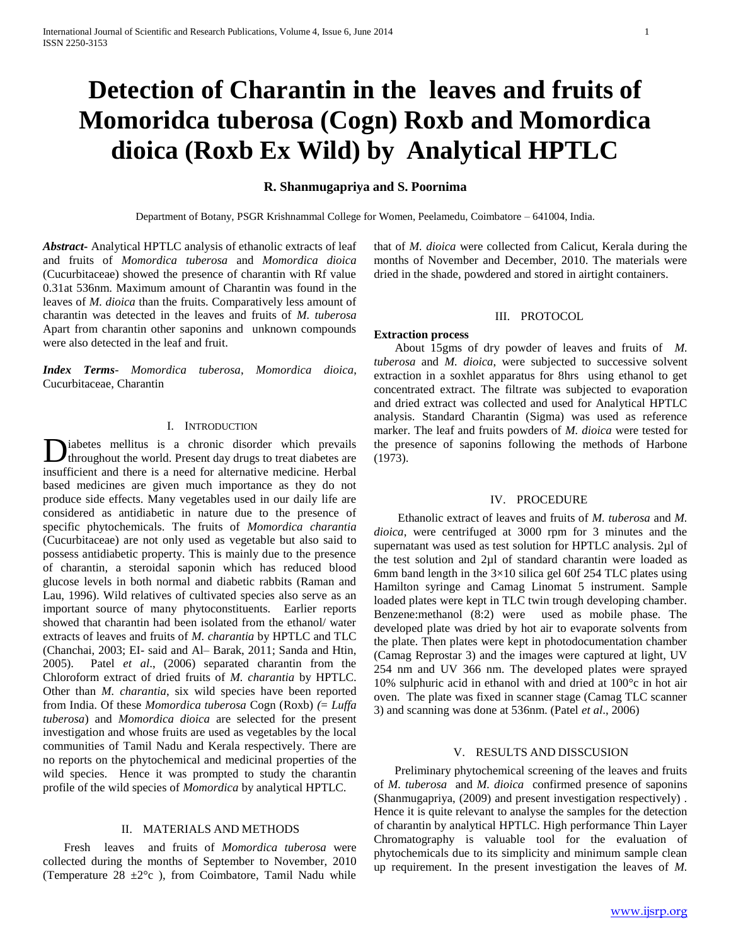# **Detection of Charantin in the leaves and fruits of Momoridca tuberosa (Cogn) Roxb and Momordica dioica (Roxb Ex Wild) by Analytical HPTLC**

## **R. Shanmugapriya and S. Poornima**

Department of Botany, PSGR Krishnammal College for Women, Peelamedu, Coimbatore – 641004, India.

*Abstract***-** Analytical HPTLC analysis of ethanolic extracts of leaf and fruits of *Momordica tuberosa* and *Momordica dioica* (Cucurbitaceae) showed the presence of charantin with Rf value 0.31at 536nm. Maximum amount of Charantin was found in the leaves of *M. dioica* than the fruits. Comparatively less amount of charantin was detected in the leaves and fruits of *M. tuberosa* Apart from charantin other saponins and unknown compounds were also detected in the leaf and fruit.

*Index Terms*- *Momordica tuberosa*, *Momordica dioica*, Cucurbitaceae, Charantin

# I. INTRODUCTION

iabetes mellitus is a chronic disorder which prevails **D**iabetes mellitus is a chronic disorder which prevails is a chronic disorder which prevails are extended to treat diabetes are  $\frac{1}{2}$ . insufficient and there is a need for alternative medicine. Herbal based medicines are given much importance as they do not produce side effects. Many vegetables used in our daily life are considered as antidiabetic in nature due to the presence of specific phytochemicals. The fruits of *Momordica charantia* (Cucurbitaceae) are not only used as vegetable but also said to possess antidiabetic property. This is mainly due to the presence of charantin, a steroidal saponin which has reduced blood glucose levels in both normal and diabetic rabbits (Raman and Lau, 1996). Wild relatives of cultivated species also serve as an important source of many phytoconstituents. Earlier reports showed that charantin had been isolated from the ethanol/ water extracts of leaves and fruits of *M. charantia* by HPTLC and TLC (Chanchai, 2003; EI- said and Al– Barak, 2011; Sanda and Htin, 2005). Patel *et al*., (2006) separated charantin from the Chloroform extract of dried fruits of *M. charantia* by HPTLC. Other than *M. charantia*, six wild species have been reported from India. Of these *Momordica tuberosa* Cogn (Roxb) *(*= *Luffa tuberosa*) and *Momordica dioica* are selected for the present investigation and whose fruits are used as vegetables by the local communities of Tamil Nadu and Kerala respectively. There are no reports on the phytochemical and medicinal properties of the wild species. Hence it was prompted to study the charantin profile of the wild species of *Momordica* by analytical HPTLC.

# II. MATERIALS AND METHODS

 Fresh leaves and fruits of *Momordica tuberosa* were collected during the months of September to November, 2010 (Temperature  $28 \pm 2^{\circ}c$ ), from Coimbatore, Tamil Nadu while

that of *M. dioica* were collected from Calicut, Kerala during the months of November and December, 2010. The materials were dried in the shade, powdered and stored in airtight containers.

## III. PROTOCOL

#### **Extraction process**

 About 15gms of dry powder of leaves and fruits of *M. tuberosa* and *M. dioica*, were subjected to successive solvent extraction in a soxhlet apparatus for 8hrs using ethanol to get concentrated extract. The filtrate was subjected to evaporation and dried extract was collected and used for Analytical HPTLC analysis. Standard Charantin (Sigma) was used as reference marker. The leaf and fruits powders of *M. dioica* were tested for the presence of saponins following the methods of Harbone (1973).

## IV. PROCEDURE

 Ethanolic extract of leaves and fruits of *M. tuberosa* and *M. dioica*, were centrifuged at 3000 rpm for 3 minutes and the supernatant was used as test solution for HPTLC analysis. 2µl of the test solution and 2µl of standard charantin were loaded as 6mm band length in the  $3\times10$  silica gel 60f 254 TLC plates using Hamilton syringe and Camag Linomat 5 instrument. Sample loaded plates were kept in TLC twin trough developing chamber. Benzene:methanol (8:2) were used as mobile phase. The developed plate was dried by hot air to evaporate solvents from the plate. Then plates were kept in photodocumentation chamber (Camag Reprostar 3) and the images were captured at light, UV 254 nm and UV 366 nm. The developed plates were sprayed 10% sulphuric acid in ethanol with and dried at 100°c in hot air oven. The plate was fixed in scanner stage (Camag TLC scanner 3) and scanning was done at 536nm. (Patel *et al*., 2006)

#### V. RESULTS AND DISSCUSION

 Preliminary phytochemical screening of the leaves and fruits of *M. tuberosa* and *M. dioica* confirmed presence of saponins (Shanmugapriya, (2009) and present investigation respectively) . Hence it is quite relevant to analyse the samples for the detection of charantin by analytical HPTLC. High performance Thin Layer Chromatography is valuable tool for the evaluation of phytochemicals due to its simplicity and minimum sample clean up requirement. In the present investigation the leaves of *M.*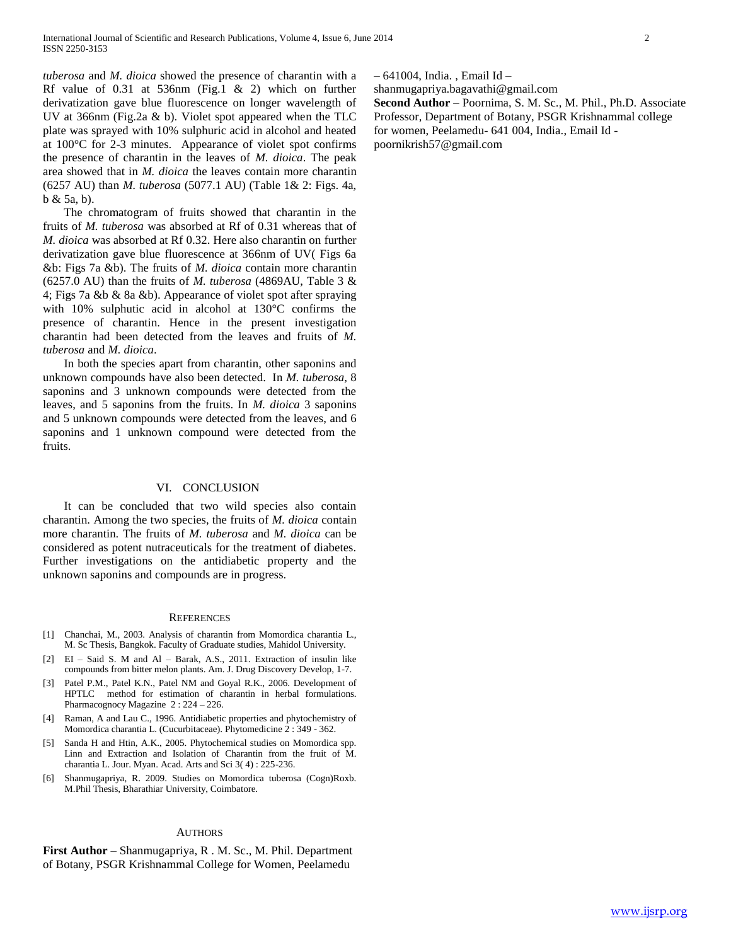*tuberosa* and *M. dioica* showed the presence of charantin with a Rf value of 0.31 at 536nm (Fig.1 & 2) which on further derivatization gave blue fluorescence on longer wavelength of UV at 366nm (Fig.2a & b). Violet spot appeared when the TLC plate was sprayed with 10% sulphuric acid in alcohol and heated at 100°C for 2-3 minutes. Appearance of violet spot confirms the presence of charantin in the leaves of *M. dioica*. The peak area showed that in *M. dioica* the leaves contain more charantin (6257 AU) than *M. tuberosa* (5077.1 AU) (Table 1& 2: Figs. 4a, b & 5a, b).

 The chromatogram of fruits showed that charantin in the fruits of *M. tuberosa* was absorbed at Rf of 0.31 whereas that of *M. dioica* was absorbed at Rf 0.32. Here also charantin on further derivatization gave blue fluorescence at 366nm of UV( Figs 6a &b: Figs 7a &b). The fruits of *M. dioica* contain more charantin (6257.0 AU) than the fruits of *M. tuberosa* (4869AU, Table 3 & 4; Figs 7a &b & 8a &b). Appearance of violet spot after spraying with 10% sulphutic acid in alcohol at 130°C confirms the presence of charantin. Hence in the present investigation charantin had been detected from the leaves and fruits of *M. tuberosa* and *M. dioica*.

 In both the species apart from charantin, other saponins and unknown compounds have also been detected. In *M. tuberosa,* 8 saponins and 3 unknown compounds were detected from the leaves, and 5 saponins from the fruits. In *M. dioica* 3 saponins and 5 unknown compounds were detected from the leaves, and 6 saponins and 1 unknown compound were detected from the fruits.

#### VI. CONCLUSION

 It can be concluded that two wild species also contain charantin. Among the two species, the fruits of *M. dioica* contain more charantin. The fruits of *M. tuberosa* and *M. dioica* can be considered as potent nutraceuticals for the treatment of diabetes. Further investigations on the antidiabetic property and the unknown saponins and compounds are in progress.

#### **REFERENCES**

- [1] Chanchai, M., 2003. Analysis of charantin from Momordica charantia L., M. Sc Thesis, Bangkok. Faculty of Graduate studies, Mahidol University.
- [2] EI Said S. M and Al Barak, A.S., 2011. Extraction of insulin like compounds from bitter melon plants. Am. J. Drug Discovery Develop, 1-7.
- [3] Patel P.M., Patel K.N., Patel NM and Goyal R.K., 2006. Development of HPTLC method for estimation of charantin in herbal formulations. Pharmacognocy Magazine 2 : 224 – 226.
- [4] Raman, A and Lau C., 1996. Antidiabetic properties and phytochemistry of Momordica charantia L. (Cucurbitaceae). Phytomedicine 2 : 349 - 362.
- [5] Sanda H and Htin, A.K., 2005. Phytochemical studies on Momordica spp. Linn and Extraction and Isolation of Charantin from the fruit of M. charantia L. Jour. Myan. Acad. Arts and Sci 3( 4) : 225-236.
- [6] Shanmugapriya, R. 2009. Studies on Momordica tuberosa (Cogn)Roxb. M.Phil Thesis, Bharathiar University, Coimbatore.

#### AUTHORS

**First Author** – Shanmugapriya, R . M. Sc., M. Phil. Department of Botany, PSGR Krishnammal College for Women, Peelamedu

– 641004, India. , Email Id –

shanmugapriya.bagavathi@gmail.com

**Second Author** – Poornima, S. M. Sc., M. Phil., Ph.D. Associate Professor, Department of Botany, PSGR Krishnammal college for women, Peelamedu- 641 004, India., Email Id -

poornikrish57@gmail.com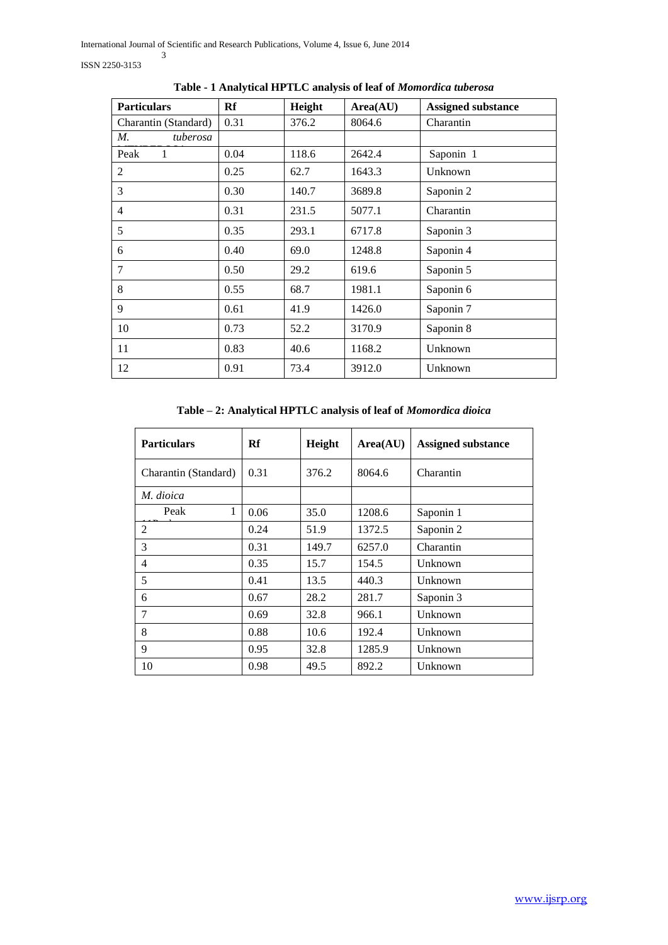| <b>Particulars</b>   | Rf   | Height | Area(AU) | <b>Assigned substance</b> |
|----------------------|------|--------|----------|---------------------------|
| Charantin (Standard) | 0.31 | 376.2  | 8064.6   | Charantin                 |
| М.<br>tuberosa       |      |        |          |                           |
| Peak<br>1            | 0.04 | 118.6  | 2642.4   | Saponin 1                 |
| 2                    | 0.25 | 62.7   | 1643.3   | Unknown                   |
| 3                    | 0.30 | 140.7  | 3689.8   | Saponin 2                 |
| $\overline{4}$       | 0.31 | 231.5  | 5077.1   | Charantin                 |
| 5                    | 0.35 | 293.1  | 6717.8   | Saponin 3                 |
| 6                    | 0.40 | 69.0   | 1248.8   | Saponin 4                 |
| 7                    | 0.50 | 29.2   | 619.6    | Saponin 5                 |
| 8                    | 0.55 | 68.7   | 1981.1   | Saponin 6                 |
| 9                    | 0.61 | 41.9   | 1426.0   | Saponin 7                 |
| 10                   | 0.73 | 52.2   | 3170.9   | Saponin 8                 |
| 11                   | 0.83 | 40.6   | 1168.2   | Unknown                   |
| 12                   | 0.91 | 73.4   | 3912.0   | Unknown                   |

**Table - 1 Analytical HPTLC analysis of leaf of** *Momordica tuberosa*

# **Table – 2: Analytical HPTLC analysis of leaf of** *Momordica dioica*

| <b>Particulars</b>   | Rf   | Height | Area(AU) | <b>Assigned substance</b> |
|----------------------|------|--------|----------|---------------------------|
| Charantin (Standard) | 0.31 | 376.2  | 8064.6   | Charantin                 |
| M. dioica            |      |        |          |                           |
| 1<br>Peak            | 0.06 | 35.0   | 1208.6   | Saponin 1                 |
| 2                    | 0.24 | 51.9   | 1372.5   | Saponin 2                 |
| 3                    | 0.31 | 149.7  | 6257.0   | Charantin                 |
| 4                    | 0.35 | 15.7   | 154.5    | Unknown                   |
| 5                    | 0.41 | 13.5   | 440.3    | Unknown                   |
| 6                    | 0.67 | 28.2   | 281.7    | Saponin 3                 |
| 7                    | 0.69 | 32.8   | 966.1    | Unknown                   |
| 8                    | 0.88 | 10.6   | 192.4    | Unknown                   |
| 9                    | 0.95 | 32.8   | 1285.9   | Unknown                   |
| 10                   | 0.98 | 49.5   | 892.2    | Unknown                   |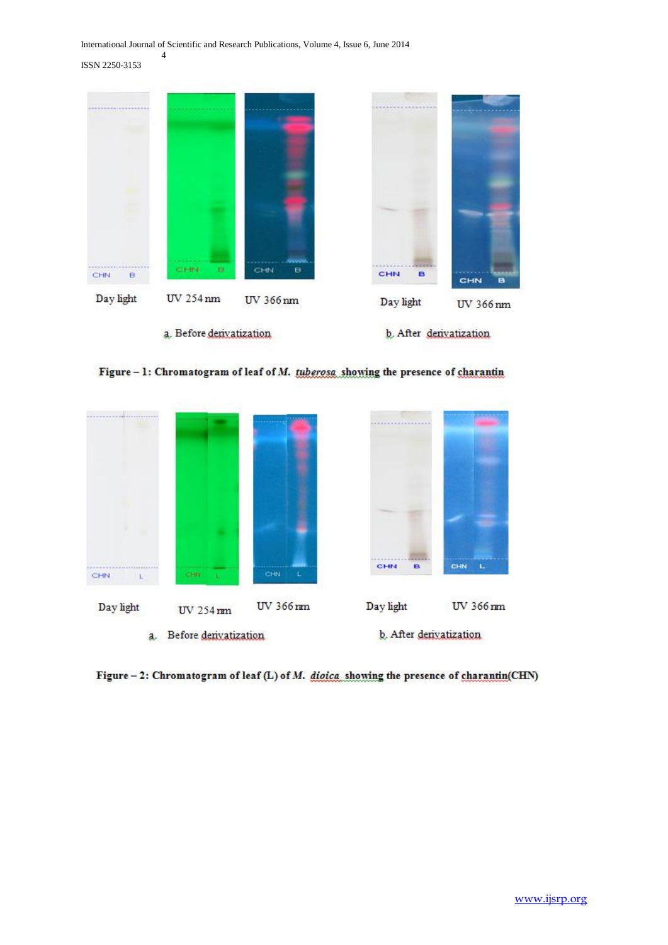International Journal of Scientific and Research Publications, Volume 4, Issue 6, June 2014

ISSN 2250-3153

4







Figure  $-2$ : Chromatogram of leaf (L) of M. digica showing the presence of charantin(CHN)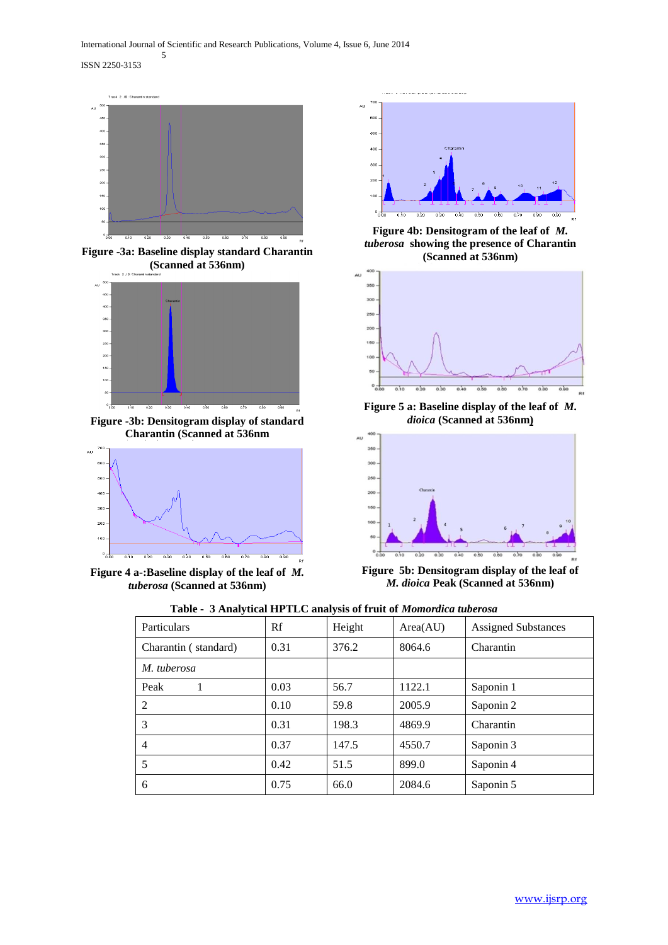ISSN 2250-3153

5



**Figure -3a: Baseline display standard Charantin (Scanned at 536nm)**



**Figure -3b: Densitogram display of standard Charantin (Scanned at 536nm**



**Figure 4 a-:Baseline display of the leaf of** *M. tuberosa* **(Scanned at 536nm)**



**Figure 4b: Densitogram of the leaf of** *M. tuberosa* **showing the presence of Charantin (Scanned at 536nm)**



**Figure 5 a: Baseline display of the leaf of** *M. dioica* **(Scanned at 536nm)**



**Figure 5b: Densitogram display of the leaf of**  *M. dioica* **Peak (Scanned at 536nm)**

|  |  | Table - 3 Analytical HPTLC analysis of fruit of Momordica tuberosa |  |
|--|--|--------------------------------------------------------------------|--|
|  |  |                                                                    |  |

| <b>Particulars</b>   | Rf   | Height | Area(AU) | <b>Assigned Substances</b> |
|----------------------|------|--------|----------|----------------------------|
| Charantin (standard) | 0.31 | 376.2  | 8064.6   | Charantin                  |
| M. tuberosa          |      |        |          |                            |
| Peak                 | 0.03 | 56.7   | 1122.1   | Saponin 1                  |
| 2                    | 0.10 | 59.8   | 2005.9   | Saponin 2                  |
| 3                    | 0.31 | 198.3  | 4869.9   | Charantin                  |
| $\overline{4}$       | 0.37 | 147.5  | 4550.7   | Saponin 3                  |
| 5                    | 0.42 | 51.5   | 899.0    | Saponin 4                  |
| 6                    | 0.75 | 66.0   | 2084.6   | Saponin 5                  |
|                      |      |        |          |                            |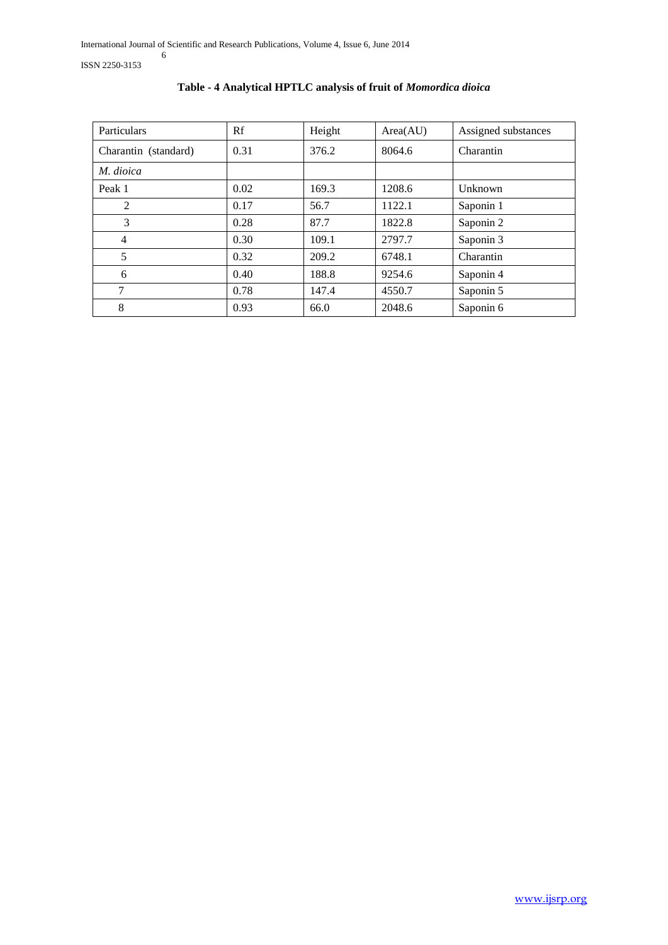ISSN 2250-3153

| Particulars          | Rf   | Height | Area(AU) | Assigned substances |
|----------------------|------|--------|----------|---------------------|
| Charantin (standard) | 0.31 | 376.2  | 8064.6   | Charantin           |
| M. dioica            |      |        |          |                     |
| Peak 1               | 0.02 | 169.3  | 1208.6   | Unknown             |
| 2                    | 0.17 | 56.7   | 1122.1   | Saponin 1           |
| 3                    | 0.28 | 87.7   | 1822.8   | Saponin 2           |
| 4                    | 0.30 | 109.1  | 2797.7   | Saponin 3           |
| 5                    | 0.32 | 209.2  | 6748.1   | Charantin           |
| 6                    | 0.40 | 188.8  | 9254.6   | Saponin 4           |
| 7                    | 0.78 | 147.4  | 4550.7   | Saponin 5           |
| 8                    | 0.93 | 66.0   | 2048.6   | Saponin 6           |

# **Table - 4 Analytical HPTLC analysis of fruit of** *Momordica dioica*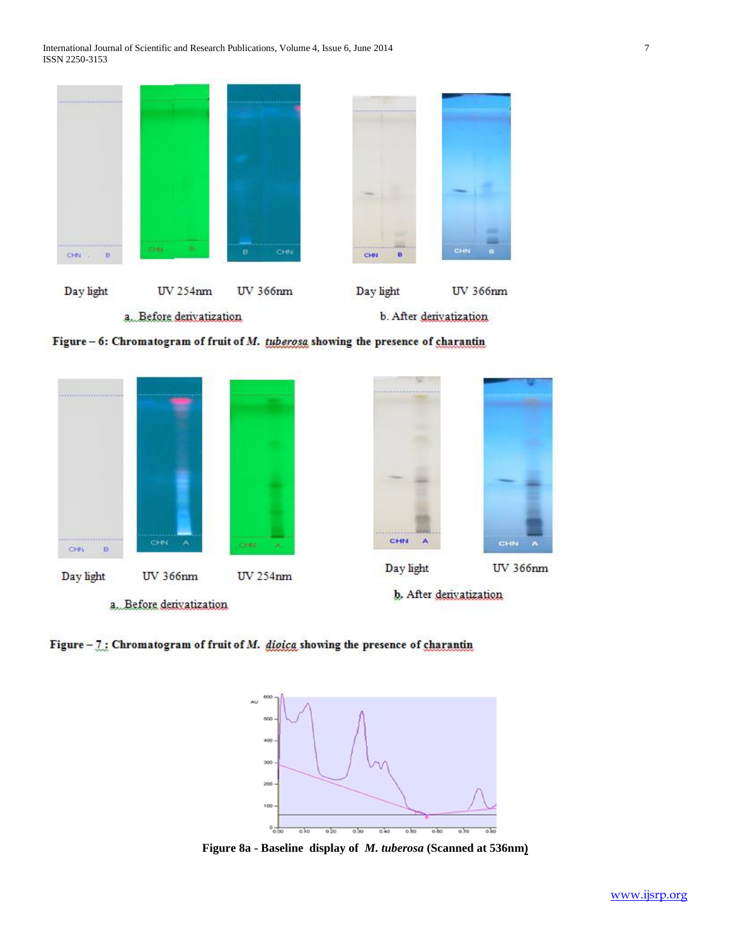| <br>CHN .<br>B                                                              | в.<br><b>COMPU</b> | <b>Contractor Service</b><br>CHN<br>в | <b>LES CONSTANTINO DE LA CONTRADICIÓN DE LA CASA</b><br>n<br>CHN | CHIN<br>a |
|-----------------------------------------------------------------------------|--------------------|---------------------------------------|------------------------------------------------------------------|-----------|
|                                                                             |                    |                                       |                                                                  |           |
|                                                                             |                    |                                       |                                                                  |           |
|                                                                             |                    |                                       |                                                                  |           |
| ,,,,,,,,,,,,,,,,,,,,,<br><b><i>CONTRACTORY AND IN THE REAL PROPERTY</i></b> |                    |                                       | **************************                                       |           |

Figure - 6: Chromatogram of fruit of M. tuberosa showing the presence of charantin



Figure  $-7$ : Chromatogram of fruit of M. digica showing the presence of charantin



**Figure 8a - Baseline display of** *M. tuberosa* **(Scanned at 536nm)**